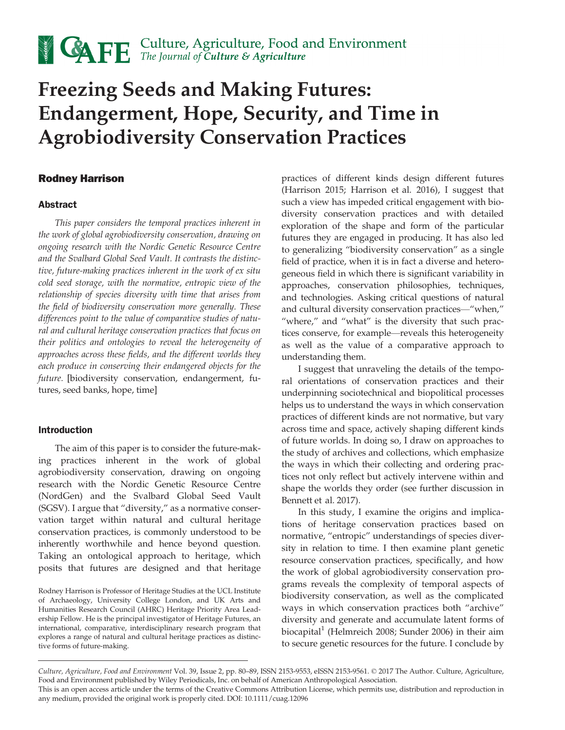# Freezing Seeds and Making Futures: Endangerment, Hope, Security, and Time in Agrobiodiversity Conservation Practices

# Rodney Harrison

## Abstract

This paper considers the temporal practices inherent in the work of global agrobiodiversity conservation, drawing on ongoing research with the Nordic Genetic Resource Centre and the Svalbard Global Seed Vault. It contrasts the distinctive, future-making practices inherent in the work of ex situ cold seed storage, with the normative, entropic view of the relationship of species diversity with time that arises from the field of biodiversity conservation more generally. These differences point to the value of comparative studies of natural and cultural heritage conservation practices that focus on their politics and ontologies to reveal the heterogeneity of approaches across these fields, and the different worlds they each produce in conserving their endangered objects for the future. [biodiversity conservation, endangerment, futures, seed banks, hope, time]

## Introduction

The aim of this paper is to consider the future-making practices inherent in the work of global agrobiodiversity conservation, drawing on ongoing research with the Nordic Genetic Resource Centre (NordGen) and the Svalbard Global Seed Vault (SGSV). I argue that "diversity," as a normative conservation target within natural and cultural heritage conservation practices, is commonly understood to be inherently worthwhile and hence beyond question. Taking an ontological approach to heritage, which posits that futures are designed and that heritage

practices of different kinds design different futures (Harrison 2015; Harrison et al. 2016), I suggest that such a view has impeded critical engagement with biodiversity conservation practices and with detailed exploration of the shape and form of the particular futures they are engaged in producing. It has also led to generalizing "biodiversity conservation" as a single field of practice, when it is in fact a diverse and heterogeneous field in which there is significant variability in approaches, conservation philosophies, techniques, and technologies. Asking critical questions of natural and cultural diversity conservation practices—"when," "where," and "what" is the diversity that such practices conserve, for example—reveals this heterogeneity as well as the value of a comparative approach to understanding them.

I suggest that unraveling the details of the temporal orientations of conservation practices and their underpinning sociotechnical and biopolitical processes helps us to understand the ways in which conservation practices of different kinds are not normative, but vary across time and space, actively shaping different kinds of future worlds. In doing so, I draw on approaches to the study of archives and collections, which emphasize the ways in which their collecting and ordering practices not only reflect but actively intervene within and shape the worlds they order (see further discussion in Bennett et al. 2017).

In this study, I examine the origins and implications of heritage conservation practices based on normative, "entropic" understandings of species diversity in relation to time. I then examine plant genetic resource conservation practices, specifically, and how the work of global agrobiodiversity conservation programs reveals the complexity of temporal aspects of biodiversity conservation, as well as the complicated ways in which conservation practices both "archive" diversity and generate and accumulate latent forms of biocapital<sup>1</sup> (Helmreich 2008; Sunder 2006) in their aim to secure genetic resources for the future. I conclude by

Rodney Harrison is Professor of Heritage Studies at the UCL Institute of Archaeology, University College London, and UK Arts and Humanities Research Council (AHRC) Heritage Priority Area Leadership Fellow. He is the principal investigator of Heritage Futures, an international, comparative, interdisciplinary research program that explores a range of natural and cultural heritage practices as distinctive forms of future-making.

Culture, Agriculture, Food and Environment Vol. 39, Issue 2, pp. 80–89, ISSN 2153-9553, eISSN 2153-9561. © 2017 The Author. Culture, Agriculture, Food and Environment published by Wiley Periodicals, Inc. on behalf of American Anthropological Association.

This is an open access article under the terms of the Creative Commons Attribution License, which permits use, distribution and reproduction in any medium, provided the original work is properly cited. DOI: 10.1111/cuag.12096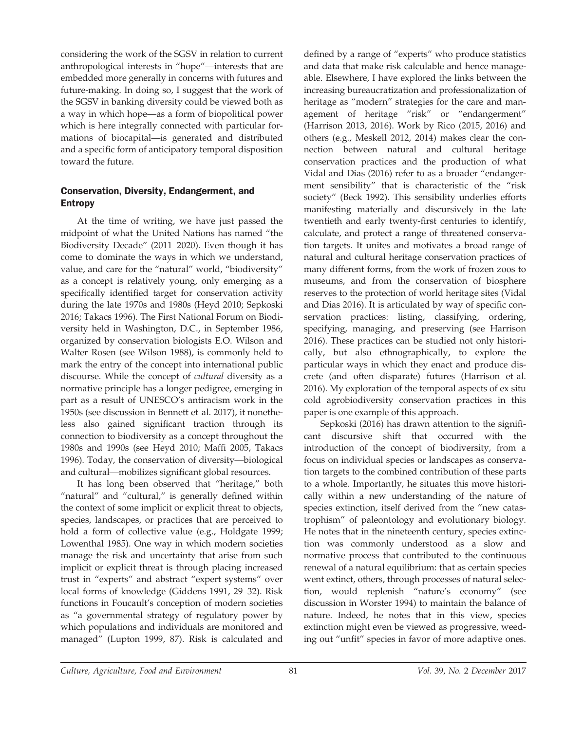considering the work of the SGSV in relation to current anthropological interests in "hope"—interests that are embedded more generally in concerns with futures and future-making. In doing so, I suggest that the work of the SGSV in banking diversity could be viewed both as a way in which hope—as a form of biopolitical power which is here integrally connected with particular formations of biocapital—is generated and distributed and a specific form of anticipatory temporal disposition toward the future.

# Conservation, Diversity, Endangerment, and Entropy

At the time of writing, we have just passed the midpoint of what the United Nations has named "the Biodiversity Decade" (2011–2020). Even though it has come to dominate the ways in which we understand, value, and care for the "natural" world, "biodiversity" as a concept is relatively young, only emerging as a specifically identified target for conservation activity during the late 1970s and 1980s (Heyd 2010; Sepkoski 2016; Takacs 1996). The First National Forum on Biodiversity held in Washington, D.C., in September 1986, organized by conservation biologists E.O. Wilson and Walter Rosen (see Wilson 1988), is commonly held to mark the entry of the concept into international public discourse. While the concept of cultural diversity as a normative principle has a longer pedigree, emerging in part as a result of UNESCO's antiracism work in the 1950s (see discussion in Bennett et al. 2017), it nonetheless also gained significant traction through its connection to biodiversity as a concept throughout the 1980s and 1990s (see Heyd 2010; Maffi 2005, Takacs 1996). Today, the conservation of diversity—biological and cultural—mobilizes significant global resources.

It has long been observed that "heritage," both "natural" and "cultural," is generally defined within the context of some implicit or explicit threat to objects, species, landscapes, or practices that are perceived to hold a form of collective value (e.g., Holdgate 1999; Lowenthal 1985). One way in which modern societies manage the risk and uncertainty that arise from such implicit or explicit threat is through placing increased trust in "experts" and abstract "expert systems" over local forms of knowledge (Giddens 1991, 29–32). Risk functions in Foucault's conception of modern societies as "a governmental strategy of regulatory power by which populations and individuals are monitored and managed" (Lupton 1999, 87). Risk is calculated and

defined by a range of "experts" who produce statistics and data that make risk calculable and hence manageable. Elsewhere, I have explored the links between the increasing bureaucratization and professionalization of heritage as "modern" strategies for the care and management of heritage "risk" or "endangerment" (Harrison 2013, 2016). Work by Rico (2015, 2016) and others (e.g., Meskell 2012, 2014) makes clear the connection between natural and cultural heritage conservation practices and the production of what Vidal and Dias (2016) refer to as a broader "endangerment sensibility" that is characteristic of the "risk society" (Beck 1992). This sensibility underlies efforts manifesting materially and discursively in the late twentieth and early twenty-first centuries to identify, calculate, and protect a range of threatened conservation targets. It unites and motivates a broad range of natural and cultural heritage conservation practices of many different forms, from the work of frozen zoos to museums, and from the conservation of biosphere reserves to the protection of world heritage sites (Vidal and Dias 2016). It is articulated by way of specific conservation practices: listing, classifying, ordering, specifying, managing, and preserving (see Harrison 2016). These practices can be studied not only historically, but also ethnographically, to explore the particular ways in which they enact and produce discrete (and often disparate) futures (Harrison et al. 2016). My exploration of the temporal aspects of ex situ cold agrobiodiversity conservation practices in this paper is one example of this approach.

Sepkoski (2016) has drawn attention to the significant discursive shift that occurred with the introduction of the concept of biodiversity, from a focus on individual species or landscapes as conservation targets to the combined contribution of these parts to a whole. Importantly, he situates this move historically within a new understanding of the nature of species extinction, itself derived from the "new catastrophism" of paleontology and evolutionary biology. He notes that in the nineteenth century, species extinction was commonly understood as a slow and normative process that contributed to the continuous renewal of a natural equilibrium: that as certain species went extinct, others, through processes of natural selection, would replenish "nature's economy" (see discussion in Worster 1994) to maintain the balance of nature. Indeed, he notes that in this view, species extinction might even be viewed as progressive, weeding out "unfit" species in favor of more adaptive ones.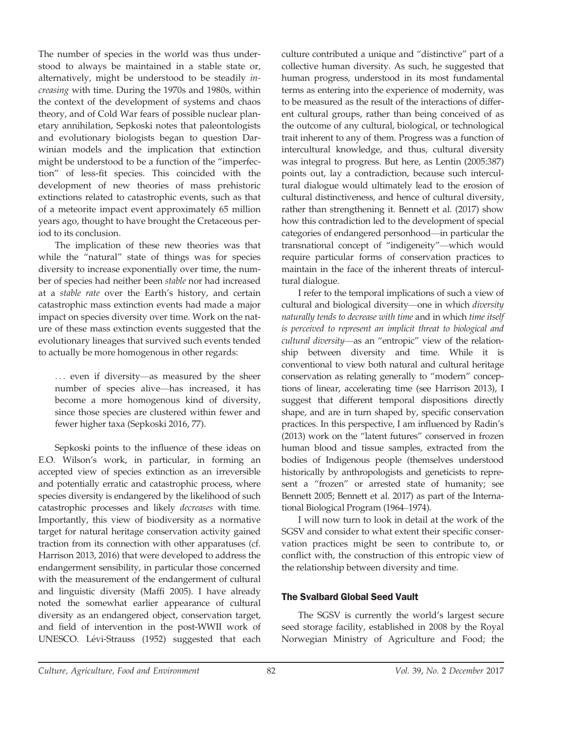The number of species in the world was thus understood to always be maintained in a stable state or, alternatively, might be understood to be steadily increasing with time. During the 1970s and 1980s, within the context of the development of systems and chaos theory, and of Cold War fears of possible nuclear planetary annihilation, Sepkoski notes that paleontologists and evolutionary biologists began to question Darwinian models and the implication that extinction might be understood to be a function of the "imperfection" of less-fit species. This coincided with the development of new theories of mass prehistoric extinctions related to catastrophic events, such as that of a meteorite impact event approximately 65 million years ago, thought to have brought the Cretaceous period to its conclusion.

The implication of these new theories was that while the "natural" state of things was for species diversity to increase exponentially over time, the number of species had neither been stable nor had increased at a stable rate over the Earth's history, and certain catastrophic mass extinction events had made a major impact on species diversity over time. Work on the nature of these mass extinction events suggested that the evolutionary lineages that survived such events tended to actually be more homogenous in other regards:

... even if diversity—as measured by the sheer number of species alive—has increased, it has become a more homogenous kind of diversity, since those species are clustered within fewer and fewer higher taxa (Sepkoski 2016, 77).

Sepkoski points to the influence of these ideas on E.O. Wilson's work, in particular, in forming an accepted view of species extinction as an irreversible and potentially erratic and catastrophic process, where species diversity is endangered by the likelihood of such catastrophic processes and likely decreases with time. Importantly, this view of biodiversity as a normative target for natural heritage conservation activity gained traction from its connection with other apparatuses (cf. Harrison 2013, 2016) that were developed to address the endangerment sensibility, in particular those concerned with the measurement of the endangerment of cultural and linguistic diversity (Maffi 2005). I have already noted the somewhat earlier appearance of cultural diversity as an endangered object, conservation target, and field of intervention in the post-WWII work of UNESCO. Lévi-Strauss (1952) suggested that each

culture contributed a unique and "distinctive" part of a collective human diversity. As such, he suggested that human progress, understood in its most fundamental terms as entering into the experience of modernity, was to be measured as the result of the interactions of different cultural groups, rather than being conceived of as the outcome of any cultural, biological, or technological trait inherent to any of them. Progress was a function of intercultural knowledge, and thus, cultural diversity was integral to progress. But here, as Lentin (2005:387) points out, lay a contradiction, because such intercultural dialogue would ultimately lead to the erosion of cultural distinctiveness, and hence of cultural diversity, rather than strengthening it. Bennett et al. (2017) show how this contradiction led to the development of special categories of endangered personhood—in particular the transnational concept of "indigeneity"—which would require particular forms of conservation practices to maintain in the face of the inherent threats of intercultural dialogue.

I refer to the temporal implications of such a view of cultural and biological diversity—one in which diversity naturally tends to decrease with time and in which time itself is perceived to represent an implicit threat to biological and cultural diversity—as an "entropic" view of the relationship between diversity and time. While it is conventional to view both natural and cultural heritage conservation as relating generally to "modern" conceptions of linear, accelerating time (see Harrison 2013), I suggest that different temporal dispositions directly shape, and are in turn shaped by, specific conservation practices. In this perspective, I am influenced by Radin's (2013) work on the "latent futures" conserved in frozen human blood and tissue samples, extracted from the bodies of Indigenous people (themselves understood historically by anthropologists and geneticists to represent a "frozen" or arrested state of humanity; see Bennett 2005; Bennett et al. 2017) as part of the International Biological Program (1964–1974).

I will now turn to look in detail at the work of the SGSV and consider to what extent their specific conservation practices might be seen to contribute to, or conflict with, the construction of this entropic view of the relationship between diversity and time.

#### The Svalbard Global Seed Vault

The SGSV is currently the world's largest secure seed storage facility, established in 2008 by the Royal Norwegian Ministry of Agriculture and Food; the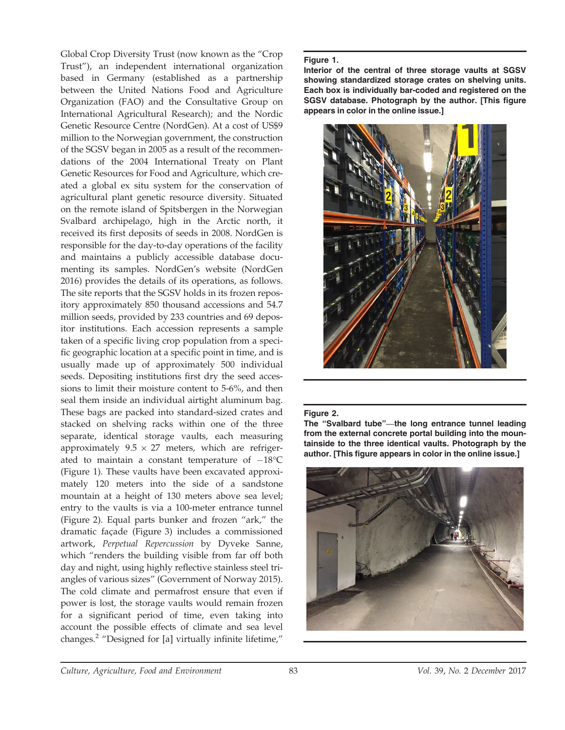Global Crop Diversity Trust (now known as the "Crop Trust"), an independent international organization based in Germany (established as a partnership between the United Nations Food and Agriculture Organization (FAO) and the Consultative Group on International Agricultural Research); and the Nordic Genetic Resource Centre (NordGen). At a cost of US\$9 million to the Norwegian government, the construction of the SGSV began in 2005 as a result of the recommendations of the 2004 International Treaty on Plant Genetic Resources for Food and Agriculture, which created a global ex situ system for the conservation of agricultural plant genetic resource diversity. Situated on the remote island of Spitsbergen in the Norwegian Svalbard archipelago, high in the Arctic north, it received its first deposits of seeds in 2008. NordGen is responsible for the day-to-day operations of the facility and maintains a publicly accessible database documenting its samples. NordGen's website (NordGen 2016) provides the details of its operations, as follows. The site reports that the SGSV holds in its frozen repository approximately 850 thousand accessions and 54.7 million seeds, provided by 233 countries and 69 depositor institutions. Each accession represents a sample taken of a specific living crop population from a specific geographic location at a specific point in time, and is usually made up of approximately 500 individual seeds. Depositing institutions first dry the seed accessions to limit their moisture content to 5-6%, and then seal them inside an individual airtight aluminum bag. These bags are packed into standard-sized crates and stacked on shelving racks within one of the three separate, identical storage vaults, each measuring approximately  $9.5 \times 27$  meters, which are refrigerated to maintain a constant temperature of  $-18^{\circ}$ C (Figure 1). These vaults have been excavated approximately 120 meters into the side of a sandstone mountain at a height of 130 meters above sea level; entry to the vaults is via a 100-meter entrance tunnel (Figure 2). Equal parts bunker and frozen "ark," the dramatic facade (Figure 3) includes a commissioned artwork, Perpetual Repercussion by Dyveke Sanne, which "renders the building visible from far off both day and night, using highly reflective stainless steel triangles of various sizes" (Government of Norway 2015). The cold climate and permafrost ensure that even if power is lost, the storage vaults would remain frozen for a significant period of time, even taking into account the possible effects of climate and sea level changes.2 "Designed for [a] virtually infinite lifetime,"

#### Figure 1.

Interior of the central of three storage vaults at SGSV showing standardized storage crates on shelving units. Each box is individually bar-coded and registered on the SGSV database. Photograph by the author. [This figure appears in color in the online issue.]



#### Figure 2.

The "Svalbard tube"—the long entrance tunnel leading from the external concrete portal building into the mountainside to the three identical vaults. Photograph by the author. [This figure appears in color in the online issue.]

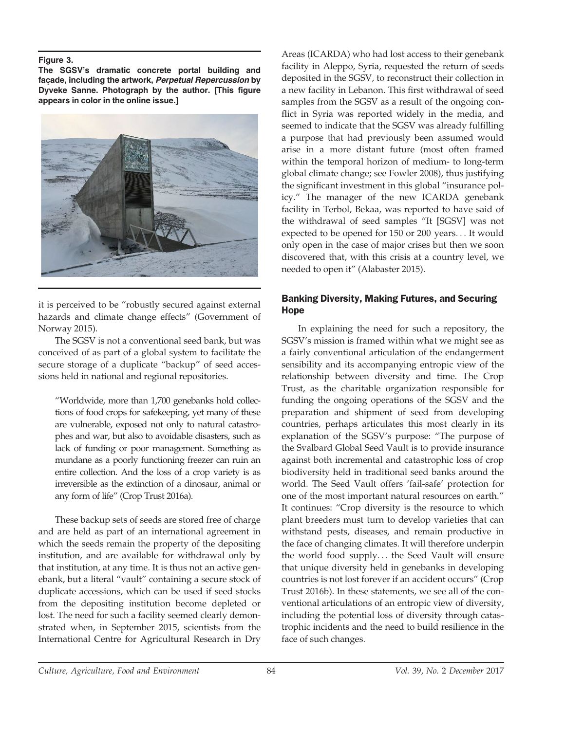#### Figure 3.

The SGSV's dramatic concrete portal building and facade, including the artwork, Perpetual Repercussion by Dyveke Sanne. Photograph by the author. [This figure appears in color in the online issue.]



it is perceived to be "robustly secured against external hazards and climate change effects" (Government of Norway 2015).

The SGSV is not a conventional seed bank, but was conceived of as part of a global system to facilitate the secure storage of a duplicate "backup" of seed accessions held in national and regional repositories.

"Worldwide, more than 1,700 genebanks hold collections of food crops for safekeeping, yet many of these are vulnerable, exposed not only to natural catastrophes and war, but also to avoidable disasters, such as lack of funding or poor management. Something as mundane as a poorly functioning freezer can ruin an entire collection. And the loss of a crop variety is as irreversible as the extinction of a dinosaur, animal or any form of life" (Crop Trust 2016a).

These backup sets of seeds are stored free of charge and are held as part of an international agreement in which the seeds remain the property of the depositing institution, and are available for withdrawal only by that institution, at any time. It is thus not an active genebank, but a literal "vault" containing a secure stock of duplicate accessions, which can be used if seed stocks from the depositing institution become depleted or lost. The need for such a facility seemed clearly demonstrated when, in September 2015, scientists from the International Centre for Agricultural Research in Dry

Areas (ICARDA) who had lost access to their genebank facility in Aleppo, Syria, requested the return of seeds deposited in the SGSV, to reconstruct their collection in a new facility in Lebanon. This first withdrawal of seed samples from the SGSV as a result of the ongoing conflict in Syria was reported widely in the media, and seemed to indicate that the SGSV was already fulfilling a purpose that had previously been assumed would arise in a more distant future (most often framed within the temporal horizon of medium- to long-term global climate change; see Fowler 2008), thus justifying the significant investment in this global "insurance policy." The manager of the new ICARDA genebank facility in Terbol, Bekaa, was reported to have said of the withdrawal of seed samples "It [SGSV] was not expected to be opened for 150 or 200 years... It would only open in the case of major crises but then we soon discovered that, with this crisis at a country level, we needed to open it" (Alabaster 2015).

# Banking Diversity, Making Futures, and Securing Hope

In explaining the need for such a repository, the SGSV's mission is framed within what we might see as a fairly conventional articulation of the endangerment sensibility and its accompanying entropic view of the relationship between diversity and time. The Crop Trust, as the charitable organization responsible for funding the ongoing operations of the SGSV and the preparation and shipment of seed from developing countries, perhaps articulates this most clearly in its explanation of the SGSV's purpose: "The purpose of the Svalbard Global Seed Vault is to provide insurance against both incremental and catastrophic loss of crop biodiversity held in traditional seed banks around the world. The Seed Vault offers 'fail-safe' protection for one of the most important natural resources on earth." It continues: "Crop diversity is the resource to which plant breeders must turn to develop varieties that can withstand pests, diseases, and remain productive in the face of changing climates. It will therefore underpin the world food supply... the Seed Vault will ensure that unique diversity held in genebanks in developing countries is not lost forever if an accident occurs" (Crop Trust 2016b). In these statements, we see all of the conventional articulations of an entropic view of diversity, including the potential loss of diversity through catastrophic incidents and the need to build resilience in the face of such changes.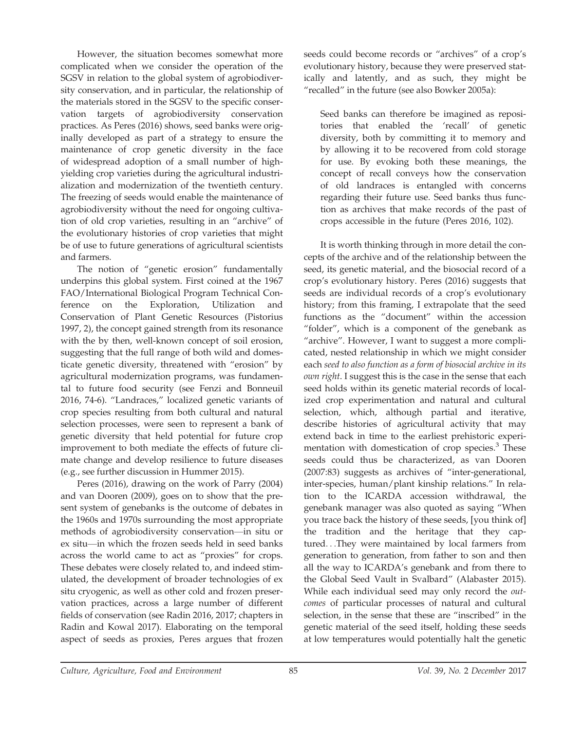However, the situation becomes somewhat more complicated when we consider the operation of the SGSV in relation to the global system of agrobiodiversity conservation, and in particular, the relationship of the materials stored in the SGSV to the specific conservation targets of agrobiodiversity conservation practices. As Peres (2016) shows, seed banks were originally developed as part of a strategy to ensure the maintenance of crop genetic diversity in the face of widespread adoption of a small number of highyielding crop varieties during the agricultural industrialization and modernization of the twentieth century. The freezing of seeds would enable the maintenance of agrobiodiversity without the need for ongoing cultivation of old crop varieties, resulting in an "archive" of the evolutionary histories of crop varieties that might be of use to future generations of agricultural scientists and farmers.

The notion of "genetic erosion" fundamentally underpins this global system. First coined at the 1967 FAO/International Biological Program Technical Conference on the Exploration, Utilization and Conservation of Plant Genetic Resources (Pistorius 1997, 2), the concept gained strength from its resonance with the by then, well-known concept of soil erosion, suggesting that the full range of both wild and domesticate genetic diversity, threatened with "erosion" by agricultural modernization programs, was fundamental to future food security (see Fenzi and Bonneuil 2016, 74-6). "Landraces," localized genetic variants of crop species resulting from both cultural and natural selection processes, were seen to represent a bank of genetic diversity that held potential for future crop improvement to both mediate the effects of future climate change and develop resilience to future diseases (e.g., see further discussion in Hummer 2015).

Peres (2016), drawing on the work of Parry (2004) and van Dooren (2009), goes on to show that the present system of genebanks is the outcome of debates in the 1960s and 1970s surrounding the most appropriate methods of agrobiodiversity conservation—in situ or ex situ—in which the frozen seeds held in seed banks across the world came to act as "proxies" for crops. These debates were closely related to, and indeed stimulated, the development of broader technologies of ex situ cryogenic, as well as other cold and frozen preservation practices, across a large number of different fields of conservation (see Radin 2016, 2017; chapters in Radin and Kowal 2017). Elaborating on the temporal aspect of seeds as proxies, Peres argues that frozen

seeds could become records or "archives" of a crop's evolutionary history, because they were preserved statically and latently, and as such, they might be "recalled" in the future (see also Bowker 2005a):

Seed banks can therefore be imagined as repositories that enabled the 'recall' of genetic diversity, both by committing it to memory and by allowing it to be recovered from cold storage for use. By evoking both these meanings, the concept of recall conveys how the conservation of old landraces is entangled with concerns regarding their future use. Seed banks thus function as archives that make records of the past of crops accessible in the future (Peres 2016, 102).

It is worth thinking through in more detail the concepts of the archive and of the relationship between the seed, its genetic material, and the biosocial record of a crop's evolutionary history. Peres (2016) suggests that seeds are individual records of a crop's evolutionary history; from this framing, I extrapolate that the seed functions as the "document" within the accession "folder", which is a component of the genebank as "archive". However, I want to suggest a more complicated, nested relationship in which we might consider each seed to also function as a form of biosocial archive in its own right. I suggest this is the case in the sense that each seed holds within its genetic material records of localized crop experimentation and natural and cultural selection, which, although partial and iterative, describe histories of agricultural activity that may extend back in time to the earliest prehistoric experimentation with domestication of crop species. $3$  These seeds could thus be characterized, as van Dooren (2007:83) suggests as archives of "inter-generational, inter-species, human/plant kinship relations." In relation to the ICARDA accession withdrawal, the genebank manager was also quoted as saying "When you trace back the history of these seeds, [you think of] the tradition and the heritage that they captured...They were maintained by local farmers from generation to generation, from father to son and then all the way to ICARDA's genebank and from there to the Global Seed Vault in Svalbard" (Alabaster 2015). While each individual seed may only record the outcomes of particular processes of natural and cultural selection, in the sense that these are "inscribed" in the genetic material of the seed itself, holding these seeds at low temperatures would potentially halt the genetic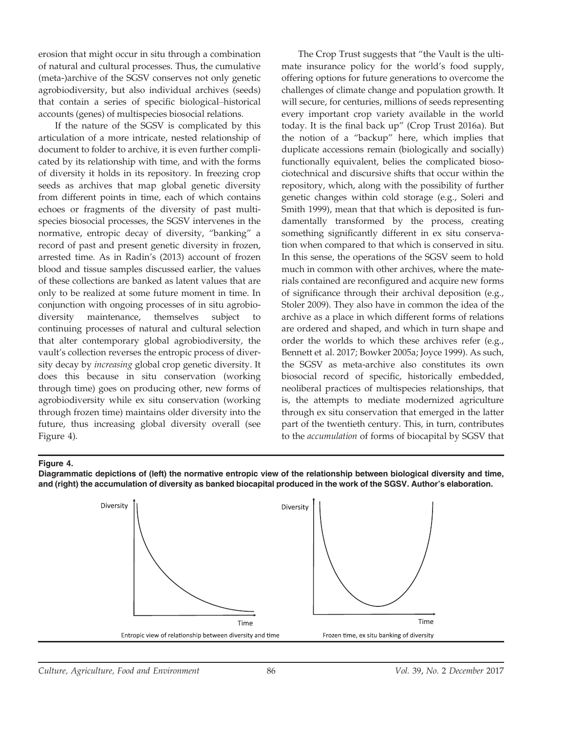erosion that might occur in situ through a combination of natural and cultural processes. Thus, the cumulative (meta-)archive of the SGSV conserves not only genetic agrobiodiversity, but also individual archives (seeds) that contain a series of specific biological–historical accounts (genes) of multispecies biosocial relations.

If the nature of the SGSV is complicated by this articulation of a more intricate, nested relationship of document to folder to archive, it is even further complicated by its relationship with time, and with the forms of diversity it holds in its repository. In freezing crop seeds as archives that map global genetic diversity from different points in time, each of which contains echoes or fragments of the diversity of past multispecies biosocial processes, the SGSV intervenes in the normative, entropic decay of diversity, "banking" a record of past and present genetic diversity in frozen, arrested time. As in Radin's (2013) account of frozen blood and tissue samples discussed earlier, the values of these collections are banked as latent values that are only to be realized at some future moment in time. In conjunction with ongoing processes of in situ agrobiodiversity maintenance, themselves subject to continuing processes of natural and cultural selection that alter contemporary global agrobiodiversity, the vault's collection reverses the entropic process of diversity decay by increasing global crop genetic diversity. It does this because in situ conservation (working through time) goes on producing other, new forms of agrobiodiversity while ex situ conservation (working through frozen time) maintains older diversity into the future, thus increasing global diversity overall (see Figure 4).

The Crop Trust suggests that "the Vault is the ultimate insurance policy for the world's food supply, offering options for future generations to overcome the challenges of climate change and population growth. It will secure, for centuries, millions of seeds representing every important crop variety available in the world today. It is the final back up" (Crop Trust 2016a). But the notion of a "backup" here, which implies that duplicate accessions remain (biologically and socially) functionally equivalent, belies the complicated biosociotechnical and discursive shifts that occur within the repository, which, along with the possibility of further genetic changes within cold storage (e.g., Soleri and Smith 1999), mean that that which is deposited is fundamentally transformed by the process, creating something significantly different in ex situ conservation when compared to that which is conserved in situ. In this sense, the operations of the SGSV seem to hold much in common with other archives, where the materials contained are reconfigured and acquire new forms of significance through their archival deposition (e.g., Stoler 2009). They also have in common the idea of the archive as a place in which different forms of relations are ordered and shaped, and which in turn shape and order the worlds to which these archives refer (e.g., Bennett et al. 2017; Bowker 2005a; Joyce 1999). As such, the SGSV as meta-archive also constitutes its own biosocial record of specific, historically embedded, neoliberal practices of multispecies relationships, that is, the attempts to mediate modernized agriculture through ex situ conservation that emerged in the latter part of the twentieth century. This, in turn, contributes to the accumulation of forms of biocapital by SGSV that

#### Figure 4.

Diagrammatic depictions of (left) the normative entropic view of the relationship between biological diversity and time, and (right) the accumulation of diversity as banked biocapital produced in the work of the SGSV. Author's elaboration.

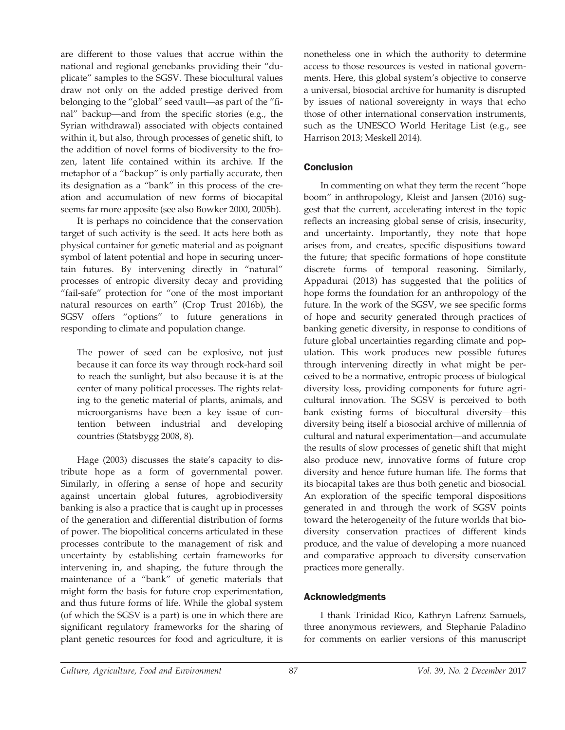are different to those values that accrue within the national and regional genebanks providing their "duplicate" samples to the SGSV. These biocultural values draw not only on the added prestige derived from belonging to the "global" seed vault—as part of the "final" backup—and from the specific stories (e.g., the Syrian withdrawal) associated with objects contained within it, but also, through processes of genetic shift, to the addition of novel forms of biodiversity to the frozen, latent life contained within its archive. If the metaphor of a "backup" is only partially accurate, then its designation as a "bank" in this process of the creation and accumulation of new forms of biocapital seems far more apposite (see also Bowker 2000, 2005b).

It is perhaps no coincidence that the conservation target of such activity is the seed. It acts here both as physical container for genetic material and as poignant symbol of latent potential and hope in securing uncertain futures. By intervening directly in "natural" processes of entropic diversity decay and providing "fail-safe" protection for "one of the most important natural resources on earth" (Crop Trust 2016b), the SGSV offers "options" to future generations in responding to climate and population change.

The power of seed can be explosive, not just because it can force its way through rock-hard soil to reach the sunlight, but also because it is at the center of many political processes. The rights relating to the genetic material of plants, animals, and microorganisms have been a key issue of contention between industrial and developing countries (Statsbygg 2008, 8).

Hage (2003) discusses the state's capacity to distribute hope as a form of governmental power. Similarly, in offering a sense of hope and security against uncertain global futures, agrobiodiversity banking is also a practice that is caught up in processes of the generation and differential distribution of forms of power. The biopolitical concerns articulated in these processes contribute to the management of risk and uncertainty by establishing certain frameworks for intervening in, and shaping, the future through the maintenance of a "bank" of genetic materials that might form the basis for future crop experimentation, and thus future forms of life. While the global system (of which the SGSV is a part) is one in which there are significant regulatory frameworks for the sharing of plant genetic resources for food and agriculture, it is

nonetheless one in which the authority to determine access to those resources is vested in national governments. Here, this global system's objective to conserve a universal, biosocial archive for humanity is disrupted by issues of national sovereignty in ways that echo those of other international conservation instruments, such as the UNESCO World Heritage List (e.g., see Harrison 2013; Meskell 2014).

## Conclusion

In commenting on what they term the recent "hope boom" in anthropology, Kleist and Jansen (2016) suggest that the current, accelerating interest in the topic reflects an increasing global sense of crisis, insecurity, and uncertainty. Importantly, they note that hope arises from, and creates, specific dispositions toward the future; that specific formations of hope constitute discrete forms of temporal reasoning. Similarly, Appadurai (2013) has suggested that the politics of hope forms the foundation for an anthropology of the future. In the work of the SGSV, we see specific forms of hope and security generated through practices of banking genetic diversity, in response to conditions of future global uncertainties regarding climate and population. This work produces new possible futures through intervening directly in what might be perceived to be a normative, entropic process of biological diversity loss, providing components for future agricultural innovation. The SGSV is perceived to both bank existing forms of biocultural diversity—this diversity being itself a biosocial archive of millennia of cultural and natural experimentation—and accumulate the results of slow processes of genetic shift that might also produce new, innovative forms of future crop diversity and hence future human life. The forms that its biocapital takes are thus both genetic and biosocial. An exploration of the specific temporal dispositions generated in and through the work of SGSV points toward the heterogeneity of the future worlds that biodiversity conservation practices of different kinds produce, and the value of developing a more nuanced and comparative approach to diversity conservation practices more generally.

## Acknowledgments

I thank Trinidad Rico, Kathryn Lafrenz Samuels, three anonymous reviewers, and Stephanie Paladino for comments on earlier versions of this manuscript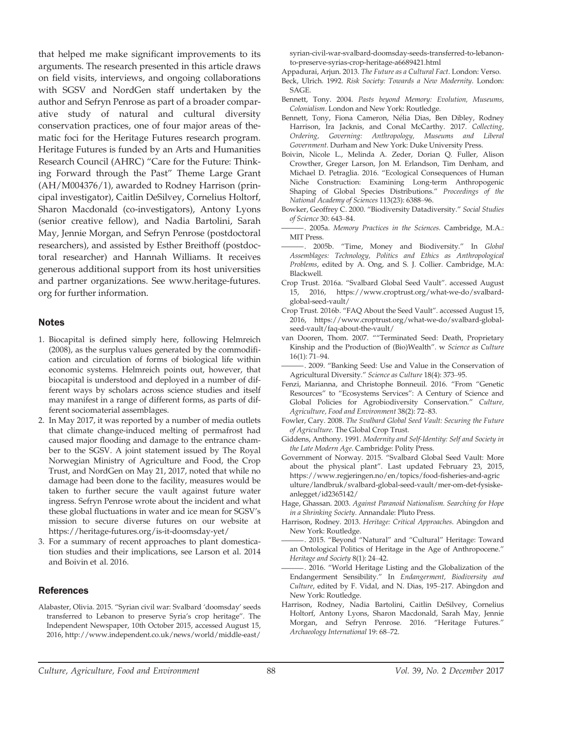that helped me make significant improvements to its arguments. The research presented in this article draws on field visits, interviews, and ongoing collaborations with SGSV and NordGen staff undertaken by the author and Sefryn Penrose as part of a broader comparative study of natural and cultural diversity conservation practices, one of four major areas of thematic foci for the Heritage Futures research program. Heritage Futures is funded by an Arts and Humanities Research Council (AHRC) "Care for the Future: Thinking Forward through the Past" Theme Large Grant (AH/M004376/1), awarded to Rodney Harrison (principal investigator), Caitlin DeSilvey, Cornelius Holtorf, Sharon Macdonald (co-investigators), Antony Lyons (senior creative fellow), and Nadia Bartolini, Sarah May, Jennie Morgan, and Sefryn Penrose (postdoctoral researchers), and assisted by Esther Breithoff (postdoctoral researcher) and Hannah Williams. It receives generous additional support from its host universities and partner organizations. See www.heritage-futures. org for further information.

#### **Notes**

- 1. Biocapital is defined simply here, following Helmreich (2008), as the surplus values generated by the commodification and circulation of forms of biological life within economic systems. Helmreich points out, however, that biocapital is understood and deployed in a number of different ways by scholars across science studies and itself may manifest in a range of different forms, as parts of different sociomaterial assemblages.
- 2. In May 2017, it was reported by a number of media outlets that climate change-induced melting of permafrost had caused major flooding and damage to the entrance chamber to the SGSV. A joint statement issued by The Royal Norwegian Ministry of Agriculture and Food, the Crop Trust, and NordGen on May 21, 2017, noted that while no damage had been done to the facility, measures would be taken to further secure the vault against future water ingress. Sefryn Penrose wrote about the incident and what these global fluctuations in water and ice mean for SGSV's mission to secure diverse futures on our website at https://heritage-futures.org/is-it-doomsday-yet/
- 3. For a summary of recent approaches to plant domestication studies and their implications, see Larson et al. 2014 and Boivin et al. 2016.

#### References

Alabaster, Olivia. 2015. "Syrian civil war: Svalbard 'doomsday' seeds transferred to Lebanon to preserve Syria's crop heritage". The Independent Newspaper, 10th October 2015, accessed August 15, 2016, http://www.independent.co.uk/news/world/middle-east/ syrian-civil-war-svalbard-doomsday-seeds-transferred-to-lebanonto-preserve-syrias-crop-heritage-a6689421.html

Appadurai, Arjun. 2013. The Future as a Cultural Fact. London: Verso.

Beck, Ulrich. 1992. Risk Society: Towards a New Modernity. London: SAGE.

- Bennett, Tony. 2004. Pasts beyond Memory: Evolution, Museums, Colonialism. London and New York: Routledge.
- Bennett, Tony, Fiona Cameron, Nélia Dias, Ben Dibley, Rodney Harrison, Ira Jacknis, and Conal McCarthy. 2017. Collecting, Ordering, Governing: Anthropology, Museums and Liberal Government. Durham and New York: Duke University Press.
- Boivin, Nicole L., Melinda A. Zeder, Dorian Q. Fuller, Alison Crowther, Greger Larson, Jon M. Erlandson, Tim Denham, and Michael D. Petraglia. 2016. "Ecological Consequences of Human Niche Construction: Examining Long-term Anthropogenic Shaping of Global Species Distributions." Proceedings of the National Academy of Sciences 113(23): 6388–96. Crowther, Greger Larson, Jon M. Erlandson, Tim Denham, and<br>Michael D. Petraglia. 2016. "Ecological Consequences of Human<br>Niche Construction: Examining Long-term Anthropogenic<br>Shaping of Global Species Distributions." Proce
- Bowker, Geoffrey C. 2000. "Biodiversity Datadiversity." Social Studies
- of Science 30: 643–84.<br>——. 2005a. Memory Practices in the Sciences. Cambridge, M.A.: MIT Press.
- Niche Construction: Examining Long-term Anthropogenic<br>
Shaping of Global Species Distributions." Proceedings of the<br>
National Academy of Sciences 113(23): 6388–96.<br>
Bowker, Geoffrey C. 2000. "Biodiversity Datadiversity." S Assemblages: Technology, Politics and Ethics as Anthropological Problems, edited by A. Ong, and S. J. Collier. Cambridge, M.A: Blackwell.
- Crop Trust. 2016a. "Svalbard Global Seed Vault". accessed August 15, 2016, https://www.croptrust.org/what-we-do/svalbardglobal-seed-vault/
- Crop Trust. 2016b. "FAQ About the Seed Vault". accessed August 15, 2016, https://www.croptrust.org/what-we-do/svalbard-globalseed-vault/faq-about-the-vault/
- van Dooren, Thom. 2007. ""Terminated Seed: Death, Proprietary Kinship and the Production of (Bio)Wealth". w Science as Culture 16(1): 71–94. global-seed-vault/<br>Crop Trust. 2016b. "FAQ About the Seed Vault". accessed August 15,<br>2016, https://www.croptrust.org/what-we-do/svalbard-global-<br>seed-vault/faq-about-the-vault/<br>van Dooren, Thom. 2007. ""Terminated Seed: D
- Agricultural Diversity." Science as Culture 18(4): 373–95.
- Fenzi, Marianna, and Christophe Bonneuil. 2016. "From "Genetic Resources" to "Ecosystems Services": A Century of Science and Global Policies for Agrobiodiversity Conservation." Culture, Agriculture, Food and Environment 38(2): 72–83.
- Fowler, Cary. 2008. The Svalbard Global Seed Vault: Securing the Future of Agriculture. The Global Crop Trust.
- Giddens, Anthony. 1991. Modernity and Self-Identity: Self and Society in the Late Modern Age. Cambridge: Polity Press.
- Government of Norway. 2015. "Svalbard Global Seed Vault: More about the physical plant". Last updated February 23, 2015, https://www.regjeringen.no/en/topics/food-fisheries-and-agric ulture/landbruk/svalbard-global-seed-vault/mer-om-det-fysiskeanlegget/id2365142/ https://www.regjeringen.no/en/topics/food-fisheries-and-agric<br>ulture/landbruk/svalbard-global-seed-vault/mer-om-det-fysiske-<br>anlegget/id2365142/<br>Hage, Ghassan. 2003. Against Paranoid Nationalism. Searching for Hope<br>in a Sh
- Hage, Ghassan. 2003. Against Paranoid Nationalism. Searching for Hope in a Shrinking Society. Annandale: Pluto Press.
- Harrison, Rodney. 2013. Heritage: Critical Approaches. Abingdon and New York: Routledge.

an Ontological Politics of Heritage in the Age of Anthropocene." Heritage and Society 8(1): 24–42. Hage, Ghassan. 2003. Against Paranoid Nationalism. Searching for Hope<br>
in a Shrinking Society. Annandale: Pluto Press.<br>
Harrison, Rodney. 2013. Heritage: Critical Approaches. Abingdon and<br>
New York: Routledge.<br>
- 2015. "Be

Endangerment Sensibility." In Endangerment, Biodiversity and Culture, edited by F. Vidal, and N. Dias, 195–217. Abingdon and New York: Routledge.

Harrison, Rodney, Nadia Bartolini, Caitlin DeSilvey, Cornelius Holtorf, Antony Lyons, Sharon Macdonald, Sarah May, Jennie Morgan, and Sefryn Penrose. 2016. "Heritage Futures." Archaeology International 19: 68–72.